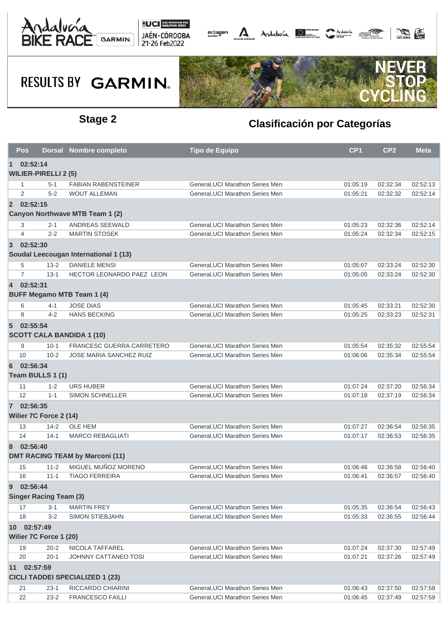





|                 | <b>Pos</b>                    |          | Dorsal Nombre completo                 | <b>Tipo de Equipo</b>            | CP <sub>1</sub> | CP <sub>2</sub> | <b>Meta</b> |
|-----------------|-------------------------------|----------|----------------------------------------|----------------------------------|-----------------|-----------------|-------------|
| $\mathbf{1}$    | 02:52:14                      |          |                                        |                                  |                 |                 |             |
|                 | <b>WILIER-PIRELLI 2 (5)</b>   |          |                                        |                                  |                 |                 |             |
|                 | 1                             | 5-1      | <b>FABIAN RABENSTEINER</b>             | General, UCI Marathon Series Men | 01:05:19        | 02:32:34        | 02:52:13    |
|                 | 2                             | $5 - 2$  | <b>WOUT ALLEMAN</b>                    | General.UCI Marathon Series Men  | 01:05:21        | 02:32:32        | 02:52:14    |
| $\overline{2}$  | 02:52:15                      |          |                                        |                                  |                 |                 |             |
|                 |                               |          | Canyon Northwave MTB Team 1 (2)        |                                  |                 |                 |             |
|                 | 3                             | $2 - 1$  | ANDREAS SEEWALD                        | General, UCI Marathon Series Men | 01:05:23        | 02:32:36        | 02:52:14    |
|                 | $\overline{4}$                | $2 - 2$  | <b>MARTIN STOSEK</b>                   | General.UCI Marathon Series Men  | 01:05:24        | 02:32:34        | 02:52:15    |
| $\overline{3}$  | 02:52:30                      |          |                                        |                                  |                 |                 |             |
|                 |                               |          | Soudal Leecougan International 1 (13)  |                                  |                 |                 |             |
|                 | 5                             | $13 - 2$ | <b>DANIELE MENSI</b>                   | General, UCI Marathon Series Men | 01:05:07        | 02:33:24        | 02:52:30    |
|                 | $\overline{7}$                | $13 - 1$ | HECTOR LEONARDO PAEZ LEON              | General, UCI Marathon Series Men | 01:05:05        | 02:33:24        | 02:52:30    |
| $\overline{4}$  | 02:52:31                      |          |                                        |                                  |                 |                 |             |
|                 |                               |          | <b>BUFF Megamo MTB Team 1 (4)</b>      |                                  |                 |                 |             |
|                 | 6                             | 4-1      | <b>JOSE DIAS</b>                       | General, UCI Marathon Series Men | 01:05:45        | 02:33:21        | 02:52:30    |
|                 | 8                             | $4 - 2$  | <b>HANS BECKING</b>                    | General.UCI Marathon Series Men  | 01:05:25        | 02:33:23        | 02:52:31    |
| $5\overline{)}$ | 02:55:54                      |          |                                        |                                  |                 |                 |             |
|                 |                               |          | <b>SCOTT CALA BANDIDA 1 (10)</b>       |                                  |                 |                 |             |
|                 | 9                             | $10 - 1$ | <b>FRANCESC GUERRA CARRETERO</b>       | General, UCI Marathon Series Men | 01:05:54        | 02:35:32        | 02:55:54    |
|                 | 10                            | $10 - 2$ | <b>JOSE MARIA SANCHEZ RUIZ</b>         | General, UCI Marathon Series Men | 01:06:06        | 02:35:34        | 02:55:54    |
| 6               | 02:56:34                      |          |                                        |                                  |                 |                 |             |
|                 | Team BULLS 1 (1)              |          |                                        |                                  |                 |                 |             |
|                 | 11                            | $1 - 2$  | URS HUBER                              | General, UCI Marathon Series Men | 01:07:24        | 02:37:20        | 02:56:34    |
|                 | 12                            | $1 - 1$  | <b>SIMON SCHNELLER</b>                 | General, UCI Marathon Series Men | 01:07:18        | 02:37:19        | 02:56:34    |
|                 | 7 02:56:35                    |          |                                        |                                  |                 |                 |             |
|                 | Wilier 7C Force 2 (14)        |          |                                        |                                  |                 |                 |             |
|                 | 13                            | $14 - 2$ | <b>OLE HEM</b>                         | General, UCI Marathon Series Men | 01:07:27        | 02:36:54        | 02:56:35    |
|                 | 14                            | $14-1$   | <b>MARCO REBAGLIATI</b>                | General, UCI Marathon Series Men | 01:07:17        | 02:36:53        | 02:56:35    |
| 8               | 02:56:40                      |          |                                        |                                  |                 |                 |             |
|                 |                               |          | <b>DMT RACING TEAM by Marconi (11)</b> |                                  |                 |                 |             |
|                 | 15                            | $11 - 2$ | MIGUEL MUÑOZ MORENO                    | General, UCI Marathon Series Men | 01:06:46        | 02:36:58        | 02:56:40    |
|                 | 16                            | $11 - 1$ | <b>TIAGO FERREIRA</b>                  | General, UCI Marathon Series Men | 01:06:41        | 02:36:57        | 02:56:40    |
| 9               | 02:56:44                      |          |                                        |                                  |                 |                 |             |
|                 | <b>Singer Racing Team (3)</b> |          |                                        |                                  |                 |                 |             |
|                 | 17                            | $3 - 1$  | <b>MARTIN FREY</b>                     | General, UCI Marathon Series Men | 01:05:35        | 02:36:54        | 02:56:43    |
|                 | 18                            | $3 - 2$  | <b>SIMON STIEBJAHN</b>                 | General, UCI Marathon Series Men | 01:05:33        | 02:36:55        | 02:56:44    |
|                 | 10 02:57:49                   |          |                                        |                                  |                 |                 |             |
|                 | Wilier 7C Force 1 (20)        |          |                                        |                                  |                 |                 |             |
|                 | 19                            | $20 - 2$ | NICOLA TAFFAREL                        | General.UCI Marathon Series Men  | 01:07:24        | 02:37:30        | 02:57:49    |
|                 | 20                            | $20 - 1$ | JOHNNY CATTANEO TOSI                   | General, UCI Marathon Series Men | 01:07:21        | 02:37:26        | 02:57:49    |
|                 | 11 02:57:59                   |          |                                        |                                  |                 |                 |             |
|                 |                               |          | <b>CICLI TADDEI SPECIALIZED 1 (23)</b> |                                  |                 |                 |             |
|                 | 21                            | $23-1$   | RICCARDO CHIARINI                      | General, UCI Marathon Series Men | 01:06:43        | 02:37:50        | 02:57:58    |
|                 | 22                            | $23-2$   | <b>FRANCESCO FAILLI</b>                | General, UCI Marathon Series Men | 01:06:45        | 02:37:49        | 02:57:59    |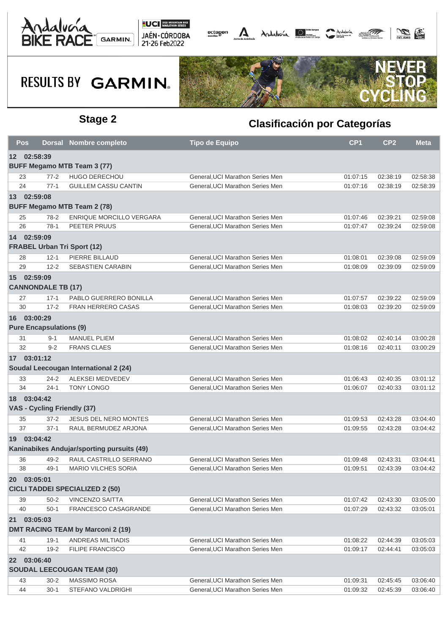





|    | Pos                            |          | <b>Dorsal Nombre completo</b>              | <b>Tipo de Equipo</b>            | CP <sub>1</sub> | CP <sub>2</sub> | <b>Meta</b> |
|----|--------------------------------|----------|--------------------------------------------|----------------------------------|-----------------|-----------------|-------------|
|    | 12 02:58:39                    |          |                                            |                                  |                 |                 |             |
|    |                                |          | <b>BUFF Megamo MTB Team 3 (77)</b>         |                                  |                 |                 |             |
|    | 23                             | $77 - 2$ | <b>HUGO DERECHOU</b>                       | General, UCI Marathon Series Men | 01:07:15        | 02:38:19        | 02:58:38    |
|    | 24                             | $77-1$   | <b>GUILLEM CASSU CANTIN</b>                | General.UCI Marathon Series Men  | 01:07:16        | 02:38:19        | 02:58:39    |
|    | 13 02:59:08                    |          |                                            |                                  |                 |                 |             |
|    |                                |          | <b>BUFF Megamo MTB Team 2 (78)</b>         |                                  |                 |                 |             |
|    | 25                             | $78-2$   | ENRIQUE MORCILLO VERGARA                   | General, UCI Marathon Series Men | 01:07:46        | 02:39:21        | 02:59:08    |
| 26 |                                | $78-1$   | PEETER PRUUS                               | General, UCI Marathon Series Men | 01:07:47        | 02:39:24        | 02:59:08    |
|    | 14 02:59:09                    |          |                                            |                                  |                 |                 |             |
|    |                                |          | <b>FRABEL Urban Tri Sport (12)</b>         |                                  |                 |                 |             |
|    | 28                             | $12 - 1$ | PIERRE BILLAUD                             | General, UCI Marathon Series Men | 01:08:01        | 02:39:08        | 02:59:09    |
|    | 29                             | $12 - 2$ | SEBASTIEN CARABIN                          | General, UCI Marathon Series Men | 01:08:09        | 02:39:09        | 02:59:09    |
|    | 15 02:59:09                    |          |                                            |                                  |                 |                 |             |
|    | <b>CANNONDALE TB (17)</b>      |          |                                            |                                  |                 |                 |             |
|    | 27                             | $17 - 1$ | PABLO GUERRERO BONILLA                     | General. UCI Marathon Series Men | 01:07:57        | 02:39:22        | 02:59:09    |
|    | 30                             | $17 - 2$ | <b>FRAN HERRERO CASAS</b>                  | General, UCI Marathon Series Men | 01:08:03        | 02:39:20        | 02:59:09    |
|    | 16 03:00:29                    |          |                                            |                                  |                 |                 |             |
|    | <b>Pure Encapsulations (9)</b> |          |                                            |                                  |                 |                 |             |
| 31 |                                | $9 - 1$  | <b>MANUEL PLIEM</b>                        | General, UCI Marathon Series Men | 01:08:02        | 02:40:14        | 03:00:28    |
|    | 32                             | $9 - 2$  | <b>FRANS CLAES</b>                         | General, UCI Marathon Series Men | 01:08:16        | 02:40:11        | 03:00:29    |
|    | 17 03:01:12                    |          |                                            |                                  |                 |                 |             |
|    |                                |          | Soudal Leecougan International 2 (24)      |                                  |                 |                 |             |
|    | 33                             | $24 - 2$ | ALEKSEI MEDVEDEV                           | General, UCI Marathon Series Men | 01:06:43        | 02:40:35        | 03:01:12    |
|    | 34                             | $24 - 1$ | <b>TONY LONGO</b>                          | General, UCI Marathon Series Men | 01:06:07        | 02:40:33        | 03:01:12    |
|    | 18 03:04:42                    |          |                                            |                                  |                 |                 |             |
|    | VAS - Cycling Friendly (37)    |          |                                            |                                  |                 |                 |             |
|    | 35                             | $37 - 2$ | <b>JESUS DEL NERO MONTES</b>               | General, UCI Marathon Series Men | 01:09:53        | 02:43:28        | 03:04:40    |
|    | 37                             | $37-1$   | RAUL BERMUDEZ ARJONA                       | General, UCI Marathon Series Men | 01:09:55        | 02:43:28        | 03:04:42    |
|    | 19 03:04:42                    |          |                                            |                                  |                 |                 |             |
|    |                                |          | Kaninabikes Andujar/sporting pursuits (49) |                                  |                 |                 |             |
|    | 36                             | $49 - 2$ | RAUL CASTRILLO SERRANO                     | General, UCI Marathon Series Men | 01:09:48        | 02:43:31        | 03:04:41    |
|    | 38                             | $49-1$   | <b>MARIO VILCHES SORIA</b>                 | General, UCI Marathon Series Men | 01:09:51        | 02:43:39        | 03:04:42    |
|    | 20 03:05:01                    |          |                                            |                                  |                 |                 |             |
|    |                                |          | <b>CICLI TADDEI SPECIALIZED 2 (50)</b>     |                                  |                 |                 |             |
|    | 39                             | $50 - 2$ | <b>VINCENZO SAITTA</b>                     | General, UCI Marathon Series Men | 01:07:42        | 02:43:30        | 03:05:00    |
| 40 |                                | $50-1$   | FRANCESCO CASAGRANDE                       | General, UCI Marathon Series Men | 01:07:29        | 02:43:32        | 03:05:01    |
| 21 | 03:05:03                       |          |                                            |                                  |                 |                 |             |
|    |                                |          | <b>DMT RACING TEAM by Marconi 2 (19)</b>   |                                  |                 |                 |             |
| 41 |                                | $19-1$   | ANDREAS MILTIADIS                          | General, UCI Marathon Series Men | 01:08:22        | 02:44:39        | 03:05:03    |
| 42 |                                | $19 - 2$ | <b>FILIPE FRANCISCO</b>                    | General, UCI Marathon Series Men | 01:09:17        | 02:44:41        | 03:05:03    |
|    | 22 03:06:40                    |          |                                            |                                  |                 |                 |             |
|    |                                |          | <b>SOUDAL LEECOUGAN TEAM (30)</b>          |                                  |                 |                 |             |
|    | 43                             | $30 - 2$ | MASSIMO ROSA                               | General, UCI Marathon Series Men | 01:09:31        | 02:45:45        | 03:06:40    |
| 44 |                                | $30-1$   | STEFANO VALDRIGHI                          | General, UCI Marathon Series Men | 01:09:32        | 02:45:39        | 03:06:40    |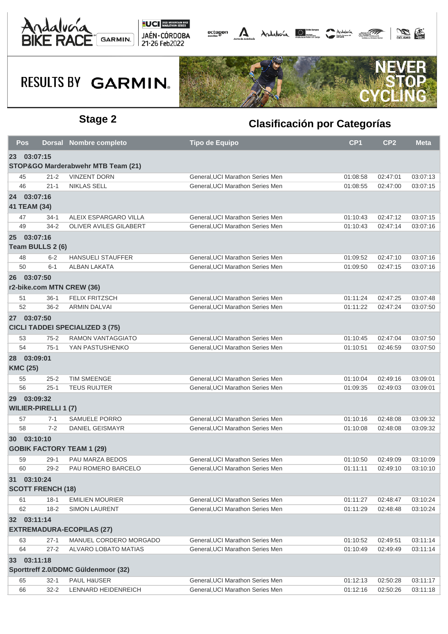





| Pos,                           |          | <b>Dorsal Nombre completo</b>          | <b>Tipo de Equipo</b>            | CP <sub>1</sub> | CP <sub>2</sub> | <b>Meta</b> |
|--------------------------------|----------|----------------------------------------|----------------------------------|-----------------|-----------------|-------------|
| 23 03:07:15                    |          |                                        |                                  |                 |                 |             |
|                                |          | STOP&GO Marderabwehr MTB Team (21)     |                                  |                 |                 |             |
| 45                             | $21 - 2$ | <b>VINZENT DORN</b>                    | General, UCI Marathon Series Men | 01:08:58        | 02:47:01        | 03:07:13    |
| 46                             | $21 - 1$ | <b>NIKLAS SELL</b>                     | General, UCI Marathon Series Men | 01:08:55        | 02:47:00        | 03:07:15    |
| 24 03:07:16                    |          |                                        |                                  |                 |                 |             |
| 41 TEAM (34)                   |          |                                        |                                  |                 |                 |             |
| 47                             | $34-1$   | ALEIX ESPARGARO VILLA                  | General, UCI Marathon Series Men | 01:10:43        | 02:47:12        | 03:07:15    |
| 49                             | $34 - 2$ | <b>OLIVER AVILES GILABERT</b>          | General, UCI Marathon Series Men | 01:10:43        | 02:47:14        | 03:07:16    |
| 25 03:07:16                    |          |                                        |                                  |                 |                 |             |
| Team BULLS 2 (6)               |          |                                        |                                  |                 |                 |             |
| 48                             | $6 - 2$  | <b>HANSUELI STAUFFER</b>               | General, UCI Marathon Series Men | 01:09:52        | 02:47:10        | 03:07:16    |
| 50                             | $6 - 1$  | <b>ALBAN LAKATA</b>                    | General, UCI Marathon Series Men | 01:09:50        | 02:47:15        | 03:07:16    |
| 26 03:07:50                    |          |                                        |                                  |                 |                 |             |
|                                |          | r2-bike.com MTN CREW (36)              |                                  |                 |                 |             |
| 51                             | $36-1$   | <b>FELIX FRITZSCH</b>                  | General, UCI Marathon Series Men | 01:11:24        | 02:47:25        | 03:07:48    |
| 52                             | $36 - 2$ | <b>ARMIN DALVAI</b>                    | General, UCI Marathon Series Men | 01:11:22        | 02:47:24        | 03:07:50    |
| 27 03:07:50                    |          |                                        |                                  |                 |                 |             |
|                                |          | <b>CICLI TADDEI SPECIALIZED 3 (75)</b> |                                  |                 |                 |             |
| 53                             | $75 - 2$ | RAMON VANTAGGIATO                      | General, UCI Marathon Series Men | 01:10:45        | 02:47:04        | 03:07:50    |
| 54                             | $75-1$   | YAN PASTUSHENKO                        | General, UCI Marathon Series Men | 01:10:51        | 02:46:59        | 03:07:50    |
| 28 03:09:01<br><b>KMC (25)</b> |          |                                        |                                  |                 |                 |             |
| 55                             | $25 - 2$ | <b>TIM SMEENGE</b>                     | General, UCI Marathon Series Men | 01:10:04        | 02:49:16        | 03:09:01    |
| 56                             | $25 - 1$ | <b>TEUS RUIJTER</b>                    | General, UCI Marathon Series Men | 01:09:35        | 02:49:03        | 03:09:01    |
| 29 03:09:32                    |          |                                        |                                  |                 |                 |             |
| <b>WILIER-PIRELLI 1 (7)</b>    |          |                                        |                                  |                 |                 |             |
| 57                             | $7 - 1$  | SAMUELE PORRO                          | General, UCI Marathon Series Men | 01:10:16        | 02:48:08        | 03:09:32    |
| 58                             | $7 - 2$  | <b>DANIEL GEISMAYR</b>                 | General, UCI Marathon Series Men | 01:10:08        | 02:48:08        | 03:09:32    |
| 30 03:10:10                    |          | <b>GOBIK FACTORY TEAM 1 (29)</b>       |                                  |                 |                 |             |
| 59                             | $29-1$   | PAU MARZA BEDOS                        | General, UCI Marathon Series Men | 01:10:50        | 02:49:09        | 03:10:09    |
| 60                             | $29 - 2$ | PAU ROMERO BARCELO                     | General, UCI Marathon Series Men | 01:11:11        | 02:49:10        | 03:10:10    |
| 31 03:10:24                    |          |                                        |                                  |                 |                 |             |
| <b>SCOTT FRENCH (18)</b>       |          |                                        |                                  |                 |                 |             |
| 61                             | $18-1$   | <b>EMILIEN MOURIER</b>                 | General, UCI Marathon Series Men | 01:11:27        | 02:48:47        | 03:10:24    |
| 62                             | $18 - 2$ | <b>SIMON LAURENT</b>                   | General, UCI Marathon Series Men | 01:11:29        | 02:48:48        | 03:10:24    |
| 32 03:11:14                    |          |                                        |                                  |                 |                 |             |
|                                |          | <b>EXTREMADURA-ECOPILAS (27)</b>       |                                  |                 |                 |             |
| 63                             | $27-1$   | MANUEL CORDERO MORGADO                 | General, UCI Marathon Series Men | 01:10:52        | 02:49:51        | 03:11:14    |
| 64                             | $27 - 2$ | ALVARO LOBATO MATIAS                   | General.UCI Marathon Series Men  | 01:10:49        | 02:49:49        | 03:11:14    |
| 33 03:11:18                    |          |                                        |                                  |                 |                 |             |
|                                |          | Sporttreff 2.0/DDMC Güldenmoor (32)    |                                  |                 |                 |             |
| 65                             | $32 - 1$ | PAUL HäUSER                            | General, UCI Marathon Series Men | 01:12:13        | 02:50:28        | 03:11:17    |
| 66                             | $32 - 2$ | LENNARD HEIDENREICH                    | General, UCI Marathon Series Men | 01:12:16        | 02:50:26        | 03:11:18    |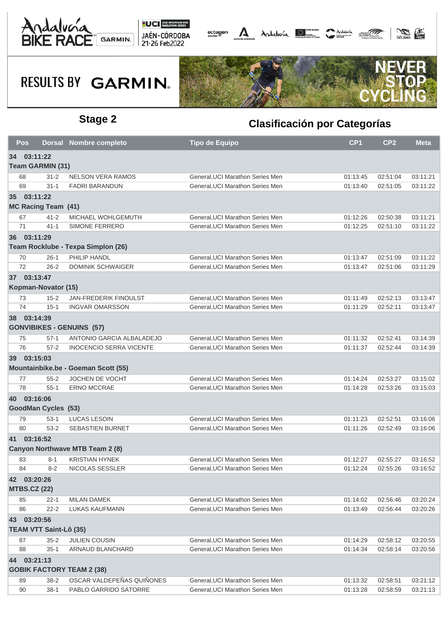





| <b>Pos</b>                    |          | Dorsal Nombre completo                 | <b>Tipo de Equipo</b>            | CP <sub>1</sub> | CP <sub>2</sub> | <b>Meta</b> |
|-------------------------------|----------|----------------------------------------|----------------------------------|-----------------|-----------------|-------------|
| 34 03:11:22                   |          |                                        |                                  |                 |                 |             |
| <b>Team GARMIN (31)</b>       |          |                                        |                                  |                 |                 |             |
| 68                            | $31 - 2$ | <b>NELSON VERA RAMOS</b>               | General, UCI Marathon Series Men | 01:13:45        | 02:51:04        | 03:11:21    |
| 69                            | $31 - 1$ | <b>FADRI BARANDUN</b>                  | General, UCI Marathon Series Men | 01:13:40        | 02:51:05        | 03:11:22    |
| 35 03:11:22                   |          |                                        |                                  |                 |                 |             |
| <b>MC Racing Team (41)</b>    |          |                                        |                                  |                 |                 |             |
| 67                            | $41 - 2$ | MICHAEL WOHLGEMUTH                     | General, UCI Marathon Series Men | 01:12:26        | 02:50:38        | 03:11:21    |
| 71                            | $41 - 1$ | <b>SIMONE FERRERO</b>                  | General, UCI Marathon Series Men | 01:12:25        | 02:51:10        | 03:11:22    |
| 36 03:11:29                   |          |                                        |                                  |                 |                 |             |
|                               |          | Team Rocklube - Texpa Simplon (26)     |                                  |                 |                 |             |
| 70                            | $26-1$   | PHILIP HANDL                           | General, UCI Marathon Series Men | 01:13:47        | 02:51:09        | 03:11:22    |
| 72                            | $26 - 2$ | <b>DOMINIK SCHWAIGER</b>               | General, UCI Marathon Series Men | 01:13:47        | 02:51:06        | 03:11:29    |
| 37 03:13:47                   |          |                                        |                                  |                 |                 |             |
| Kopman-Novator (15)           |          |                                        |                                  |                 |                 |             |
| 73                            | $15 - 2$ | <b>JAN-FREDERIK FINOULST</b>           | General, UCI Marathon Series Men | 01:11:49        | 02:52:13        | 03:13:47    |
| 74                            | $15-1$   | <b>INGVAR OMARSSON</b>                 | General, UCI Marathon Series Men | 01:11:29        | 02:52:11        | 03:13:47    |
| 38 03:14:39                   |          |                                        |                                  |                 |                 |             |
|                               |          | <b>GONVIBIKES - GENUINS (57)</b>       |                                  |                 |                 |             |
| 75                            | $57-1$   | ANTONIO GARCIA ALBALADEJO              | General, UCI Marathon Series Men | 01:11:32        | 02:52:41        | 03:14:39    |
| 76                            | $57 - 2$ | <b>INOCENCIO SERRA VICENTE</b>         | General, UCI Marathon Series Men | 01:11:37        | 02:52:44        | 03:14:39    |
| 39 03:15:03                   |          |                                        |                                  |                 |                 |             |
|                               |          | Mountainbike.be - Goeman Scott (55)    |                                  |                 |                 |             |
| 77                            | $55 - 2$ | JOCHEN DE VOCHT                        | General, UCI Marathon Series Men | 01:14:24        | 02:53:27        | 03:15:02    |
| 78                            | $55-1$   | <b>ERNO MCCRAE</b>                     | General, UCI Marathon Series Men | 01:14:28        | 02:53:26        | 03:15:03    |
| 40 03:16:06                   |          |                                        |                                  |                 |                 |             |
| GoodMan Cycles (53)           |          |                                        |                                  |                 |                 |             |
| 79                            | $53-1$   | <b>LUCAS LESOIN</b>                    | General, UCI Marathon Series Men | 01:11:23        | 02:52:51        | 03:16:06    |
| 80                            | $53 - 2$ | <b>SEBASTIEN BURNET</b>                | General, UCI Marathon Series Men | 01:11:26        | 02:52:49        | 03:16:06    |
| 41 03:16:52                   |          |                                        |                                  |                 |                 |             |
|                               |          | <b>Canyon Northwave MTB Team 2 (8)</b> |                                  |                 |                 |             |
| 83                            | $8 - 1$  | <b>KRISTIAN HYNEK</b>                  | General, UCI Marathon Series Men | 01:12:27        | 02:55:27        | 03:16:52    |
| 84                            | $8 - 2$  | NICOLAS SESSLER                        | General, UCI Marathon Series Men | 01:12:24        | 02:55:26        | 03:16:52    |
| 42 03:20:26                   |          |                                        |                                  |                 |                 |             |
| <b>MTBS.CZ (22)</b>           |          |                                        |                                  |                 |                 |             |
| 85                            | $22 - 1$ | <b>MILAN DAMEK</b>                     | General, UCI Marathon Series Men | 01:14:02        | 02:56:46        | 03:20:24    |
| 86                            | $22 - 2$ | <b>LUKAS KAUFMANN</b>                  | General, UCI Marathon Series Men | 01:13:49        | 02:56:44        | 03:20:26    |
| 43 03:20:56                   |          |                                        |                                  |                 |                 |             |
| <b>TEAM VTT Saint-Lô (35)</b> |          |                                        |                                  |                 |                 |             |
| 87                            | $35 - 2$ | <b>JULIEN COUSIN</b>                   | General, UCI Marathon Series Men | 01:14:29        | 02:58:12        | 03:20:55    |
| 88                            | $35-1$   | <b>ARNAUD BLANCHARD</b>                | General, UCI Marathon Series Men | 01:14:34        | 02:58:14        | 03:20:56    |
| 44 03:21:13                   |          |                                        |                                  |                 |                 |             |
|                               |          | <b>GOBIK FACTORY TEAM 2 (38)</b>       |                                  |                 |                 |             |
| 89                            | $38 - 2$ | OSCAR VALDEPEÑAS QUIÑONES              | General, UCI Marathon Series Men | 01:13:32        | 02:58:51        | 03:21:12    |
| 90                            | $38-1$   | PABLO GARRIDO SATORRE                  | General, UCI Marathon Series Men | 01:13:28        | 02:58:59        | 03:21:13    |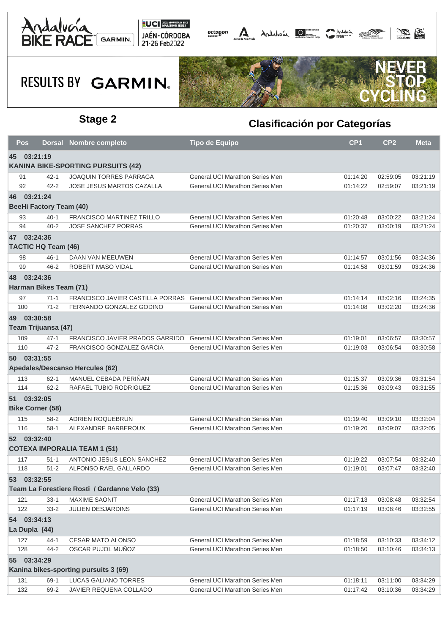





| Pos                     |                                | <b>Dorsal Nombre completo</b>                                     | <b>Tipo de Equipo</b>            | CP <sub>1</sub> | CP <sub>2</sub> | <b>Meta</b>          |
|-------------------------|--------------------------------|-------------------------------------------------------------------|----------------------------------|-----------------|-----------------|----------------------|
| 45 03:21:19             |                                |                                                                   |                                  |                 |                 |                      |
|                         |                                | <b>KANINA BIKE-SPORTING PURSUITS (42)</b>                         |                                  |                 |                 |                      |
| 91                      | $42 - 1$                       | <b>JOAQUIN TORRES PARRAGA</b>                                     | General, UCI Marathon Series Men | 01:14:20        | 02:59:05        | 03:21:19             |
| 92                      | $42 - 2$                       | JOSE JESUS MARTOS CAZALLA                                         | General, UCI Marathon Series Men | 01:14:22        | 02:59:07        | 03:21:19             |
| 46 03:21:24             |                                |                                                                   |                                  |                 |                 |                      |
|                         | <b>BeeHi Factory Team (40)</b> |                                                                   |                                  |                 |                 |                      |
| 93                      | $40 - 1$                       | <b>FRANCISCO MARTINEZ TRILLO</b>                                  | General, UCI Marathon Series Men | 01:20:48        | 03:00:22        | 03:21:24             |
| 94                      | $40 - 2$                       | <b>JOSE SANCHEZ PORRAS</b>                                        | General, UCI Marathon Series Men | 01:20:37        | 03:00:19        | 03:21:24             |
| 47 03:24:36             |                                |                                                                   |                                  |                 |                 |                      |
|                         | <b>TACTIC HQ Team (46)</b>     |                                                                   |                                  |                 |                 |                      |
| 98                      | $46 - 1$                       | DAAN VAN MEEUWEN                                                  | General, UCI Marathon Series Men | 01:14:57        | 03:01:56        | 03:24:36             |
| 99                      | $46 - 2$                       | ROBERT MASO VIDAL                                                 | General, UCI Marathon Series Men | 01:14:58        | 03:01:59        | 03:24:36             |
| 48 03:24:36             |                                |                                                                   |                                  |                 |                 |                      |
|                         | Harman Bikes Team (71)         |                                                                   |                                  |                 |                 |                      |
| 97                      | $71 - 1$                       | FRANCISCO JAVIER CASTILLA PORRAS General, UCI Marathon Series Men |                                  | 01:14:14        | 03:02:16        | 03:24:35             |
| 100                     | $71 - 2$                       | FERNANDO GONZALEZ GODINO                                          | General, UCI Marathon Series Men | 01:14:08        | 03:02:20        | 03:24:36             |
| 49 03:30:58             |                                |                                                                   |                                  |                 |                 |                      |
|                         | Team Trijuansa (47)            |                                                                   |                                  |                 |                 |                      |
| 109                     | $47 - 1$                       | FRANCISCO JAVIER PRADOS GARRIDO                                   | General, UCI Marathon Series Men | 01:19:01        | 03:06:57        | 03:30:57             |
| 110                     | $47 - 2$                       | FRANCISCO GONZALEZ GARCIA                                         | General, UCI Marathon Series Men | 01:19:03        | 03:06:54        | 03:30:58             |
| 50 03:31:55             |                                |                                                                   |                                  |                 |                 |                      |
|                         |                                | Apedales/Descanso Hercules (62)                                   |                                  |                 |                 |                      |
| 113                     | $62 - 1$                       | MANUEL CEBADA PERIÑAN                                             | General, UCI Marathon Series Men | 01:15:37        | 03:09:36        | 03:31:54             |
| 114                     | $62 - 2$                       | RAFAEL TUBIO RODRIGUEZ                                            | General, UCI Marathon Series Men | 01:15:36        | 03:09:43        | 03:31:55             |
| 51 03:32:05             |                                |                                                                   |                                  |                 |                 |                      |
| <b>Bike Corner (58)</b> |                                |                                                                   |                                  |                 |                 |                      |
| 115                     | $58-2$                         | ADRIEN ROQUEBRUN                                                  | General, UCI Marathon Series Men | 01:19:40        | 03:09:10        | 03:32:04             |
| 116                     | $58-1$                         | ALEXANDRE BARBEROUX                                               | General, UCI Marathon Series Men | 01:19:20        | 03:09:07        | 03:32:05             |
| 52 03:32:40             |                                |                                                                   |                                  |                 |                 |                      |
|                         |                                | <b>COTEXA IMPORALIA TEAM 1 (51)</b>                               |                                  |                 |                 |                      |
|                         |                                | ANTONIO JESUS LEON SANCHEZ                                        | General, UCI Marathon Series Men |                 |                 |                      |
| 117<br>118              | $51 - 1$<br>$51 - 2$           | ALFONSO RAEL GALLARDO                                             | General. UCI Marathon Series Men | 01:19:22        | 03:07:54        | 03:32:40<br>03:32:40 |
|                         |                                |                                                                   |                                  | 01:19:01        | 03:07:47        |                      |
| 53 03:32:55             |                                |                                                                   |                                  |                 |                 |                      |
|                         |                                | Team La Forestiere Rosti / Gardanne Velo (33)                     |                                  |                 |                 |                      |
| 121                     | $33-1$                         | <b>MAXIME SAONIT</b>                                              | General, UCI Marathon Series Men | 01:17:13        | 03:08:48        | 03:32:54             |
| 122                     | $33 - 2$                       | JULIEN DESJARDINS                                                 | General, UCI Marathon Series Men | 01:17:19        | 03:08:46        | 03:32:55             |
| 54 03:34:13             |                                |                                                                   |                                  |                 |                 |                      |
| La Dupla (44)           |                                |                                                                   |                                  |                 |                 |                      |
| 127                     | $44 - 1$                       | <b>CESAR MATO ALONSO</b>                                          | General, UCI Marathon Series Men | 01:18:59        | 03:10:33        | 03:34:12             |
| 128                     | $44 - 2$                       | OSCAR PUJOL MUÑOZ                                                 | General, UCI Marathon Series Men | 01:18:50        | 03:10:46        | 03:34:13             |
| 55 03:34:29             |                                |                                                                   |                                  |                 |                 |                      |
|                         |                                | Kanina bikes-sporting pursuits 3 (69)                             |                                  |                 |                 |                      |
| 131                     | $69-1$                         | LUCAS GALIANO TORRES                                              | General, UCI Marathon Series Men | 01:18:11        | 03:11:00        | 03:34:29             |
| 132                     | 69-2                           | JAVIER REQUENA COLLADO                                            | General, UCI Marathon Series Men | 01:17:42        | 03:10:36        | 03:34:29             |
|                         |                                |                                                                   |                                  |                 |                 |                      |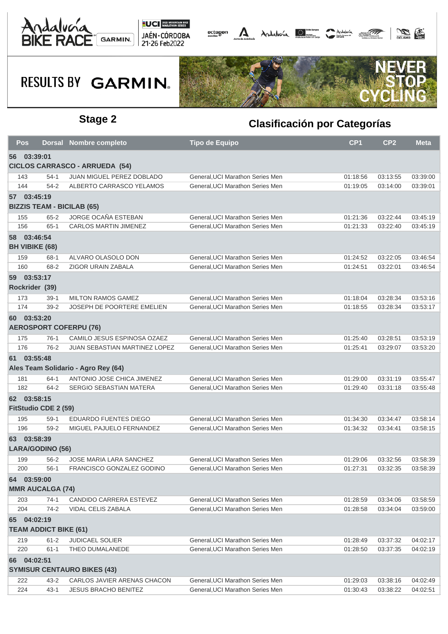





| <b>Pos</b> | <b>Dorsal</b>                               | <b>Nombre completo</b>                | <b>Tipo de Equipo</b>            | CP <sub>1</sub>      | CP <sub>2</sub>      | <b>Meta</b>          |
|------------|---------------------------------------------|---------------------------------------|----------------------------------|----------------------|----------------------|----------------------|
|            | 56 03:39:01                                 |                                       |                                  |                      |                      |                      |
|            |                                             | <b>CICLOS CARRASCO - ARRUEDA (54)</b> |                                  |                      |                      |                      |
| 143        | $54-1$                                      | JUAN MIGUEL PEREZ DOBLADO             | General, UCI Marathon Series Men | 01:18:56             | 03:13:55             | 03:39:00             |
| 144        | $54 - 2$                                    | ALBERTO CARRASCO YELAMOS              | General, UCI Marathon Series Men | 01:19:05             | 03:14:00             | 03:39:01             |
|            | 57 03:45:19                                 |                                       |                                  |                      |                      |                      |
|            | <b>BIZZIS TEAM - BICILAB (65)</b>           |                                       |                                  |                      |                      |                      |
| 155        | $65 - 2$                                    | JORGE OCAÑA ESTEBAN                   | General, UCI Marathon Series Men | 01:21:36             | 03:22:44             | 03:45:19             |
| 156        | $65 - 1$                                    | CARLOS MARTIN JIMENEZ                 | General, UCI Marathon Series Men | 01:21:33             | 03:22:40             | 03:45:19             |
|            | 58 03:46:54                                 |                                       |                                  |                      |                      |                      |
|            | <b>BH VIBIKE (68)</b>                       |                                       |                                  |                      |                      |                      |
| 159        | $68-1$                                      | ALVARO OLASOLO DON                    | General, UCI Marathon Series Men | 01:24:52             | 03:22:05             | 03:46:54             |
| 160        | 68-2                                        | ZIGOR URAIN ZABALA                    | General, UCI Marathon Series Men | 01:24:51             | 03:22:01             | 03:46:54             |
|            | 59 03:53:17                                 |                                       |                                  |                      |                      |                      |
|            | Rockrider (39)                              |                                       |                                  |                      |                      |                      |
| 173        | $39-1$                                      | <b>MILTON RAMOS GAMEZ</b>             | General, UCI Marathon Series Men | 01:18:04             | 03:28:34             | 03:53:16             |
| 174        | $39 - 2$                                    | <b>JOSEPH DE POORTERE EMELIEN</b>     | General, UCI Marathon Series Men | 01:18:55             | 03:28:34             | 03:53:17             |
|            | 60 03:53:20                                 |                                       |                                  |                      |                      |                      |
|            |                                             | <b>AEROSPORT COFERPU (76)</b>         |                                  |                      |                      |                      |
| 175        | $76-1$                                      | CAMILO JESUS ESPINOSA OZAEZ           | General, UCI Marathon Series Men | 01:25:40             | 03:28:51             | 03:53:19             |
| 176        | $76-2$                                      | JUAN SEBASTIAN MARTINEZ LOPEZ         | General, UCI Marathon Series Men | 01:25:41             | 03:29:07             | 03:53:20             |
|            | 61 03:55:48                                 |                                       |                                  |                      |                      |                      |
|            |                                             | Ales Team Solidario - Agro Rey (64)   |                                  |                      |                      |                      |
| 181        | 64-1                                        | ANTONIO JOSE CHICA JIMENEZ            | General, UCI Marathon Series Men | 01:29:00             | 03:31:19             | 03:55:47             |
| 182        | $64 - 2$                                    | SERGIO SEBASTIAN MATERA               | General, UCI Marathon Series Men | 01:29:40             | 03:31:18             | 03:55:48             |
|            | 62 03:58:15                                 |                                       |                                  |                      |                      |                      |
|            | FitStudio CDE 2 (59)                        |                                       |                                  |                      |                      |                      |
| 195        | $59-1$                                      | <b>EDUARDO FUENTES DIEGO</b>          | General, UCI Marathon Series Men | 01:34:30             | 03:34:47             | 03:58:14             |
| 196        | $59-2$                                      | MIGUEL PAJUELO FERNANDEZ              | General, UCI Marathon Series Men | 01:34:32             | 03:34:41             | 03:58:15             |
|            | 63 03:58:39                                 |                                       |                                  |                      |                      |                      |
|            | LARA/GODINO (56)                            |                                       |                                  |                      |                      |                      |
| 199        | 56-2                                        | <b>JOSE MARIA LARA SANCHEZ</b>        | General, UCI Marathon Series Men | 01:29:06             | 03:32:56             | 03:58:39             |
| 200        | $56-1$                                      | FRANCISCO GONZALEZ GODINO             | General. UCI Marathon Series Men | 01:27:31             | 03:32:35             | 03:58:39             |
|            | 64 03:59:00                                 |                                       |                                  |                      |                      |                      |
|            | <b>MMR AUCALGA (74)</b>                     |                                       |                                  |                      |                      |                      |
| 203        | $74-1$                                      | CANDIDO CARRERA ESTEVEZ               | General, UCI Marathon Series Men | 01:28:59             | 03:34:06             | 03:58:59             |
| 204        | $74-2$                                      | VIDAL CELIS ZABALA                    | General, UCI Marathon Series Men | 01:28:58             | 03:34:04             | 03:59:00             |
|            |                                             |                                       |                                  |                      |                      |                      |
|            | 65 04:02:19<br><b>TEAM ADDICT BIKE (61)</b> |                                       |                                  |                      |                      |                      |
|            | $61 - 2$                                    |                                       | General, UCI Marathon Series Men |                      |                      |                      |
| 219<br>220 | $61 - 1$                                    | JUDICAEL SOLIER<br>THEO DUMALANEDE    | General, UCI Marathon Series Men | 01:28:49<br>01:28:50 | 03:37:32<br>03:37:35 | 04:02:17<br>04:02:19 |
|            |                                             |                                       |                                  |                      |                      |                      |
|            | 66 04:02:51                                 | <b>SYMISUR CENTAURO BIKES (43)</b>    |                                  |                      |                      |                      |
| 222        | 43-2                                        | CARLOS JAVIER ARENAS CHACON           | General, UCI Marathon Series Men | 01:29:03             | 03:38:16             | 04:02:49             |
| 224        | $43 - 1$                                    | <b>JESUS BRACHO BENITEZ</b>           | General, UCI Marathon Series Men | 01:30:43             | 03:38:22             | 04:02:51             |